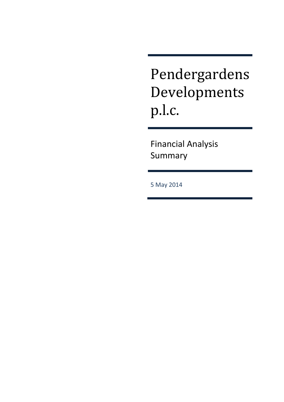# Pendergardens Developments p.l.c.

Financial Analysis Summary

5 May 2014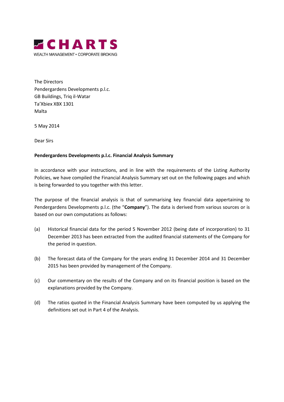

The Directors Pendergardens Developments p.l.c. GB Buildings, Triq il-Watar Ta'Xbiex XBX 1301 Malta

5 May 2014

Dear Sirs

#### **Pendergardens Developments p.l.c. Financial Analysis Summary**

In accordance with your instructions, and in line with the requirements of the Listing Authority Policies, we have compiled the Financial Analysis Summary set out on the following pages and which is being forwarded to you together with this letter.

The purpose of the financial analysis is that of summarising key financial data appertaining to Pendergardens Developments p.l.c. (the "**Company**"). The data is derived from various sources or is based on our own computations as follows:

- (a) Historical financial data for the period 5 November 2012 (being date of incorporation) to 31 December 2013 has been extracted from the audited financial statements of the Company for the period in question.
- (b) The forecast data of the Company for the years ending 31 December 2014 and 31 December 2015 has been provided by management of the Company.
- (c) Our commentary on the results of the Company and on its financial position is based on the explanations provided by the Company.
- (d) The ratios quoted in the Financial Analysis Summary have been computed by us applying the definitions set out in Part 4 of the Analysis.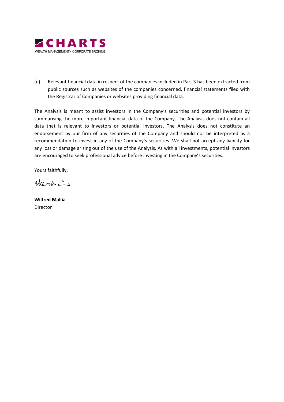

(e) Relevant financial data in respect of the companies included in Part 3 has been extracted from public sources such as websites of the companies concerned, financial statements filed with the Registrar of Companies or websites providing financial data.

The Analysis is meant to assist investors in the Company's securities and potential investors by summarising the more important financial data of the Company. The Analysis does not contain all data that is relevant to investors or potential investors. The Analysis does not constitute an endorsement by our firm of any securities of the Company and should not be interpreted as a recommendation to invest in any of the Company's securities. We shall not accept any liability for any loss or damage arising out of the use of the Analysis. As with all investments, potential investors are encouraged to seek professional advice before investing in the Company's securities.

Yours faithfully,

Washin

**Wilfred Mallia**  Director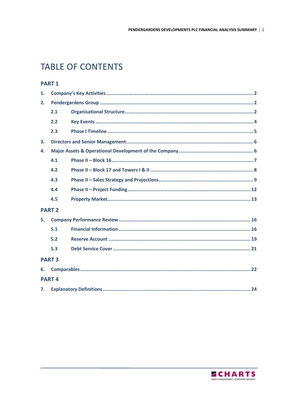# **TABLE OF CONTENTS**

# **PART1**

| 1.            |               |  |
|---------------|---------------|--|
| 2.            |               |  |
|               | 2.1           |  |
|               | 2.2           |  |
|               | 2.3           |  |
| 3.            |               |  |
| 4.            |               |  |
|               | 4.1           |  |
|               | 4.2           |  |
|               | 4.3           |  |
|               | 4.4           |  |
|               | 4.5           |  |
|               | <b>PART 2</b> |  |
| 5.            |               |  |
|               | 5.1           |  |
|               | 5.2           |  |
|               | 5.3           |  |
| <b>PART 3</b> |               |  |
| 6.            |               |  |
|               | <b>PART4</b>  |  |
| 7.            |               |  |

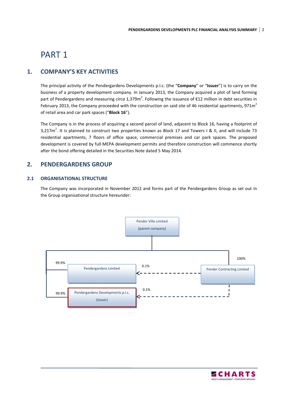# PART 1

# **1. COMPANY'S KEY ACTIVITIES**

The principal activity of the Pendergardens Developments p.l.c. (the "**Company**" or "**Issuer**") is to carry on the business of a property development company. In January 2013, the Company acquired a plot of land forming part of Pendergardens and measuring *circa* 1,379m<sup>2</sup>. Following the issuance of €12 million in debt securities in February 2013, the Company proceeded with the construction on said site of 46 residential apartments, 971 $m<sup>2</sup>$ of retail area and car park spaces ("**Block 16**").

The Company is in the process of acquiring a second parcel of land, adjacent to Block 16, having a footprint of 3,217 $m^2$ . It is planned to construct two properties known as Block 17 and Towers I & II, and will include 73 residential apartments, 7 floors of office space, commercial premises and car park spaces. The proposed development is covered by full MEPA development permits and therefore construction will commence shortly after the bond offering detailed in the Securities Note dated 5 May 2014.

# **2. PENDERGARDENS GROUP**

### **2.1 ORGANISATIONAL STRUCTURE**

The Company was incorporated in November 2012 and forms part of the Pendergardens Group as set out in the Group organisational structure hereunder:



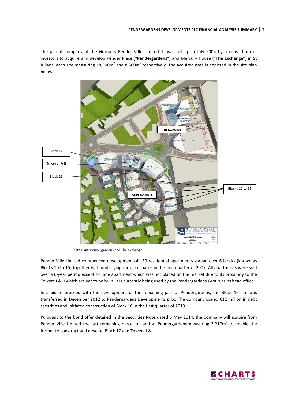#### **PENDERGARDENS DEVELOPMENTS PLC FINANCIAL ANALYSIS SUMMARY** 3

The parent company of the Group is Pender Ville Limited. It was set up in July 2005 by a consortium of investors to acquire and develop Pender Place ("**Pendergardens**") and Mercury House ("**The Exchange**") in St Julians, each site measuring 18,500m<sup>2</sup> and 8,500m<sup>2</sup> respectively. The acquired area is depicted in the site plan below:



 **Site Plan:** Pendergardens and The Exchange

Pender Ville Limited commenced development of 150 residential apartments spread over 6 blocks (known as Blocks 10 to 15) together with underlying car park spaces in the first quarter of 2007. All apartments were sold over a 6-year period except for one apartment which was not placed on the market due to its proximity to the Towers I & II which are yet to be built. It is currently being used by the Pendergardens Group as its head office.

In a bid to proceed with the development of the remaining part of Pendergardens, the Block 16 site was transferred in December 2012 to Pendergardens Developments p.l.c. The Company issued €12 million in debt securities and initiated construction of Block 16 in the first quarter of 2013.

Pursuant to the bond offer detailed in the Securities Note dated 5 May 2014, the Company will acquire from Pender Ville Limited the last remaining parcel of land at Pendergardens measuring 3,217 $m^2$  to enable the former to construct and develop Block 17 and Towers I & II.

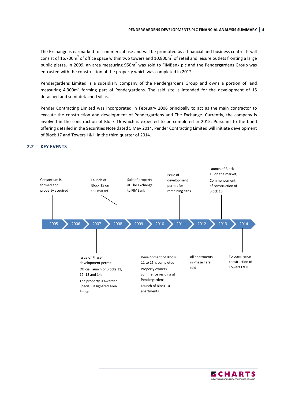The Exchange is earmarked for commercial use and will be promoted as a financial and business centre. It will consist of 16,700m<sup>2</sup> of office space within two towers and 10,800m<sup>2</sup> of retail and leisure outlets fronting a large public piazza. In 2009, an area measuring 950m<sup>2</sup> was sold to FIMBank plc and the Pendergardens Group was entrusted with the construction of the property which was completed in 2012.

Pendergardens Limited is a subsidiary company of the Pendergardens Group and owns a portion of land measuring 4,300 $m^2$  forming part of Pendergardens. The said site is intended for the development of 15 detached and semi-detached villas.

Pender Contracting Limited was incorporated in February 2006 principally to act as the main contractor to execute the construction and development of Pendergardens and The Exchange. Currently, the company is involved in the construction of Block 16 which is expected to be completed in 2015. Pursuant to the bond offering detailed in the Securities Note dated 5 May 2014, Pender Contracting Limited will initiate development of Block 17 and Towers I & II in the third quarter of 2014.



#### **2.2 KEY EVENTS**

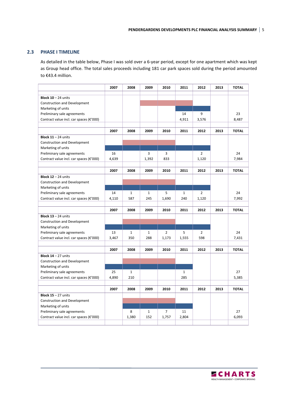#### **2.3 PHASE I TIMELINE**

As detailed in the table below, Phase I was sold over a 6-year period, except for one apartment which was kept as Group head office. The total sales proceeds including 181 car park spaces sold during the period amounted to €43.4 million.

|                                                                                      | 2007  | 2008         | 2009         | 2010           | 2011         | 2012           | 2013 | <b>TOTAL</b> |
|--------------------------------------------------------------------------------------|-------|--------------|--------------|----------------|--------------|----------------|------|--------------|
|                                                                                      |       |              |              |                |              |                |      |              |
| <b>Block <math>10 - 24</math> units</b>                                              |       |              |              |                |              |                |      |              |
| Construction and Development                                                         |       |              |              |                |              |                |      |              |
| Marketing of units                                                                   |       |              |              |                | 14           | 9              |      | 23           |
| Preliminary sale agreements<br>Contract value incl. car spaces ( $\varepsilon$ '000) |       |              |              |                | 4,911        | 3,576          |      | 8,487        |
|                                                                                      |       |              |              |                |              |                |      |              |
|                                                                                      | 2007  | 2008         | 2009         | 2010           | 2011         | 2012           | 2013 | <b>TOTAL</b> |
| <b>Block 11 - 24 units</b>                                                           |       |              |              |                |              |                |      |              |
| <b>Construction and Development</b>                                                  |       |              |              |                |              |                |      |              |
| Marketing of units                                                                   |       |              |              |                |              |                |      |              |
| Preliminary sale agreements                                                          | 16    |              | 3            | 3              |              | $\overline{2}$ |      | 24           |
| Contract value incl. car spaces (€'000)                                              | 4,639 |              | 1,392        | 833            |              | 1,120          |      | 7,984        |
|                                                                                      |       |              |              |                |              |                |      |              |
|                                                                                      | 2007  | 2008         | 2009         | 2010           | 2011         | 2012           | 2013 | <b>TOTAL</b> |
| <b>Block 12 - 24 units</b>                                                           |       |              |              |                |              |                |      |              |
| Construction and Development                                                         |       |              |              |                |              |                |      |              |
| Marketing of units                                                                   |       |              |              |                |              |                |      |              |
| Preliminary sale agreements                                                          | 14    | $\mathbf{1}$ | $\mathbf{1}$ | 5              | $\mathbf{1}$ | $\overline{2}$ |      | 24           |
| Contract value incl. car spaces (€'000)                                              | 4,110 | 587          | 245          | 1,690          | 240          | 1,120          |      | 7,992        |
|                                                                                      |       |              |              |                |              |                |      |              |
|                                                                                      | 2007  | 2008         | 2009         | 2010           | 2011         | 2012           | 2013 | <b>TOTAL</b> |
| <b>Block 13 - 24 units</b>                                                           |       |              |              |                |              |                |      |              |
| Construction and Development                                                         |       |              |              |                |              |                |      |              |
| Marketing of units                                                                   |       |              |              |                |              |                |      |              |
| Preliminary sale agreements                                                          | 13    | $\mathbf 1$  | $\mathbf{1}$ | $\overline{2}$ | 5            | $\overline{2}$ |      | 24           |
| Contract value incl. car spaces (€'000)                                              | 3,467 | 350          | 288          | 1,173          | 1,555        | 598            |      | 7,431        |
|                                                                                      |       |              |              |                |              |                |      |              |
|                                                                                      | 2007  | 2008         | 2009         | 2010           | 2011         | 2012           | 2013 | <b>TOTAL</b> |
| <b>Block <math>14 - 27</math> units</b>                                              |       |              |              |                |              |                |      |              |
| Construction and Development                                                         |       |              |              |                |              |                |      |              |
| Marketing of units                                                                   |       |              |              |                |              |                |      |              |
| Preliminary sale agreements                                                          | 25    | $1\,$        |              |                | $\mathbf{1}$ |                |      | 27           |
| Contract value incl. car spaces ( $\varepsilon$ '000)                                | 4,890 | 210          |              |                | 285          |                |      | 5,385        |
|                                                                                      |       |              |              |                |              |                |      |              |
|                                                                                      | 2007  | 2008         | 2009         | 2010           | 2011         | 2012           | 2013 | <b>TOTAL</b> |
| <b>Block 15 - 27 units</b>                                                           |       |              |              |                |              |                |      |              |
| Construction and Development                                                         |       |              |              |                |              |                |      |              |
| Marketing of units                                                                   |       |              |              |                |              |                |      |              |
| Preliminary sale agreements                                                          |       | 8            | $\mathbf{1}$ | $\overline{7}$ | 11           |                |      | 27           |
| Contract value incl. car spaces ( $\varepsilon$ '000)                                |       | 1,380        | 152          | 1,757          | 2,804        |                |      | 6,093        |
|                                                                                      |       |              |              |                |              |                |      |              |

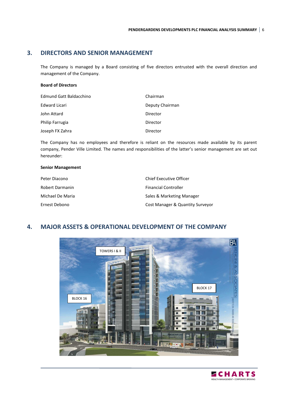### **3. DIRECTORS AND SENIOR MANAGEMENT**

The Company is managed by a Board consisting of five directors entrusted with the overall direction and management of the Company.

#### **Board of Directors**

| <b>Edmund Gatt Baldacchino</b> | Chairman        |
|--------------------------------|-----------------|
| Edward Licari                  | Deputy Chairman |
| John Attard                    | Director        |
| Philip Farrugia                | Director        |
| Joseph FX Zahra                | Director        |

The Company has no employees and therefore is reliant on the resources made available by its parent company, Pender Ville Limited. The names and responsibilities of the latter's senior management are set out hereunder:

#### **Senior Management**

| Peter Diacono    | <b>Chief Executive Officer</b>   |
|------------------|----------------------------------|
| Robert Darmanin  | <b>Financial Controller</b>      |
| Michael De Maria | Sales & Marketing Manager        |
| Ernest Debono    | Cost Manager & Quantity Surveyor |

### **4. MAJOR ASSETS & OPERATIONAL DEVELOPMENT OF THE COMPANY**



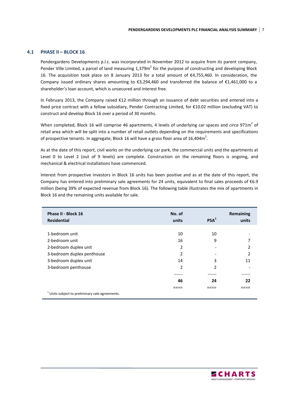#### **4.1 PHASE II – BLOCK 16**

Pendergardens Developments p.l.c. was incorporated in November 2012 to acquire from its parent company, Pender Ville Limited, a parcel of land measuring 1,379m<sup>2</sup> for the purpose of constructing and developing Block 16. The acquisition took place on 8 January 2013 for a total amount of €4,755,460. In consideration, the Company issued ordinary shares amounting to €3,294,460 and transferred the balance of €1,461,000 to a shareholder's loan account, which is unsecured and interest free.

In February 2013, the Company raised €12 million through an issuance of debt securities and entered into a fixed price contract with a fellow subsidiary, Pender Contracting Limited, for €10.02 million (excluding VAT) to construct and develop Block 16 over a period of 30 months.

When completed, Block 16 will comprise 46 apartments, 4 levels of underlying car spaces and *circa* 971m<sup>2</sup> of retail area which will be split into a number of retail outlets depending on the requirements and specifications of prospective tenants. In aggregate, Block 16 will have a gross floor area of 16,404 $m^2$ .

As at the date of this report, civil works on the underlying car park, the commercial units and the apartments at Level 0 to Level 2 (out of 9 levels) are complete. Construction on the remaining floors is ongoing, and mechanical & electrical installations have commenced.

Interest from prospective investors in Block 16 units has been positive and as at the date of this report, the Company has entered into preliminary sale agreements for 24 units, equivalent to final sales proceeds of €6.9 million (being 39% of expected revenue from Block 16). The following table illustrates the mix of apartments in Block 16 and the remaining units available for sale.

| Phase II - Block 16<br><b>Residential</b>                  | No. of<br>units | PSA <sup>1</sup> | <b>Remaining</b><br>units |
|------------------------------------------------------------|-----------------|------------------|---------------------------|
|                                                            |                 |                  |                           |
| 1-bedroom unit                                             | 10              | 10               |                           |
| 2-bedroom unit                                             | 16              | 9                | 7                         |
| 2-bedroom duplex unit                                      | 2               |                  | 2                         |
| 3-bedroom duplex penthouse                                 | 2               | -                | 2                         |
| 3-bedroom duplex unit                                      | 14              | 3                | 11                        |
| 3-bedroom penthouse                                        | 2               | 2                |                           |
|                                                            |                 |                  |                           |
|                                                            | 46              | 24               | 22                        |
|                                                            |                 |                  |                           |
| <sup>1</sup> Units subject to preliminary sale agreements. |                 |                  |                           |

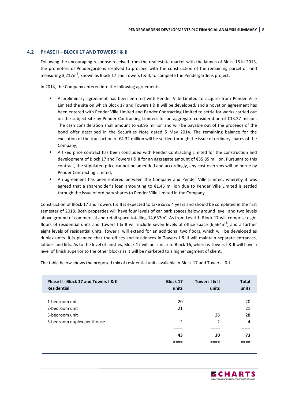#### **4.2 PHASE II – BLOCK 17 AND TOWERS I & II**

Following the encouraging response received from the real estate market with the launch of Block 16 in 2013, the promoters of Pendergardens resolved to proceed with the construction of the remaining parcel of land measuring 3,217m<sup>2</sup>, known as Block 17 and Towers I & II, to complete the Pendergardens project.

In 2014, the Company entered into the following agreements:

- A preliminary agreement has been entered with Pender Ville Limited to acquire from Pender Ville Limited the site on which Block 17 and Towers I & II will be developed, and a novation agreement has been entered with Pender Ville Limited and Pender Contracting Limited to settle for works carried out on the subject site by Pender Contracting Limited, for an aggregate consideration of €13.27 million. The cash consideration shall amount to  $\epsilon$ 8.95 million and will be payable out of the proceeds of the bond offer described in the Securities Note dated 5 May 2014. The remaining balance for the execution of the transaction of €4.32 million will be settled through the issue of ordinary shares of the Company;
- A fixed price contract has been concluded with Pender Contracting Limited for the construction and development of Block 17 and Towers I & II for an aggregate amount of €35.85 million. Pursuant to this contract, the stipulated price cannot be amended and accordingly, any cost overruns will be borne by Pender Contracting Limited;
- An agreement has been entered between the Company and Pender Ville Limited, whereby it was agreed that a shareholder's loan amounting to €1.46 million due to Pender Ville Limited is settled through the issue of ordinary shares to Pender Ville Limited in the Company.

Construction of Block 17 and Towers I & II is expected to take *circa* 4 years and should be completed in the first semester of 2018. Both properties will have four levels of car park spaces below ground level, and two levels above ground of commercial and retail space totalling 14,637m<sup>2</sup>. As from Level 1, Block 17 will comprise eight floors of residential units and Towers I & II will include seven levels of office space (6,564m<sup>2</sup>) and a further eight levels of residential units. Tower II will extend for an additional two floors, which will be developed as duplex units. It is planned that the offices and residences in Towers I & II will maintain separate entrances, lobbies and lifts. As to the level of finishes, Block 17 will be similar to Block 16, whereas Towers I & II will have a level of finish superior to the other blocks as it will be marketed to a higher segment of client.

The table below shows the proposed mix of residential units available in Block 17 and Towers I & II:

| Phase II - Block 17 and Towers I & II<br>Residential | <b>Block 17</b><br>units | Towers   & II<br>units   | <b>Total</b><br>units |
|------------------------------------------------------|--------------------------|--------------------------|-----------------------|
|                                                      |                          |                          |                       |
| 1-bedroom unit                                       | 20                       |                          | 20                    |
| 2-bedroom unit                                       | 21                       |                          | 21                    |
| 3-bedroom unit                                       |                          | 28                       | 28                    |
| 3-bedroom duplex penthouse                           | $\overline{2}$           | $\overline{\phantom{a}}$ | $\overline{4}$        |
|                                                      |                          |                          |                       |
|                                                      | 43                       | 30                       | 73                    |
|                                                      |                          |                          |                       |
|                                                      |                          |                          |                       |

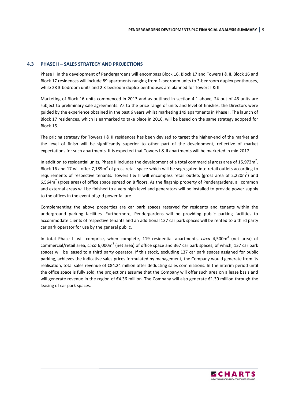#### **4.3 PHASE II – SALES STRATEGY AND PROJECTIONS**

Phase II in the development of Pendergardens will encompass Block 16, Block 17 and Towers I & II. Block 16 and Block 17 residences will include 89 apartments ranging from 1-bedroom units to 3-bedroom duplex penthouses, while 28 3-bedroom units and 2 3-bedroom duplex penthouses are planned for Towers I & II.

Marketing of Block 16 units commenced in 2013 and as outlined in section 4.1 above, 24 out of 46 units are subject to preliminary sale agreements. As to the price range of units and level of finishes, the Directors were guided by the experience obtained in the past 6 years whilst marketing 149 apartments in Phase I. The launch of Block 17 residences, which is earmarked to take place in 2016, will be based on the same strategy adopted for Block 16.

The pricing strategy for Towers I & II residences has been devised to target the higher-end of the market and the level of finish will be significantly superior to other part of the development, reflective of market expectations for such apartments. It is expected that Towers I & II apartments will be marketed in mid 2017.

In addition to residential units, Phase II includes the development of a total commercial gross area of 15,973m<sup>2</sup>. Block 16 and 17 will offer 7,189m<sup>2</sup> of gross retail space which will be segregated into retail outlets according to requirements of respective tenants. Towers I & II will encompass retail outlets (gross area of 2,220m<sup>2</sup>) and 6,564 $m^2$  (gross area) of office space spread on 8 floors. As the flagship property of Pendergardens, all common and external areas will be finished to a very high level and generators will be installed to provide power supply to the offices in the event of grid power failure.

Complementing the above properties are car park spaces reserved for residents and tenants within the underground parking facilities. Furthermore, Pendergardens will be providing public parking facilities to accommodate clients of respective tenants and an additional 137 car park spaces will be rented to a third party car park operator for use by the general public.

In total Phase II will comprise, when complete, 119 residential apartments, *circa* 4,500m<sup>2</sup> (net area) of commercial/retail area, *circa* 6,000m<sup>2</sup> (net area) of office space and 367 car park spaces, of which, 137 car park spaces will be leased to a third party operator. If this stock, excluding 137 car park spaces assigned for public parking, achieves the indicative sales prices formulated by management, the Company would generate from its realisation, total sales revenue of €84.24 million after deducting sales commissions. In the interim period until the office space is fully sold, the projections assume that the Company will offer such area on a lease basis and will generate revenue in the region of €4.36 million. The Company will also generate €1.30 million through the leasing of car park spaces.

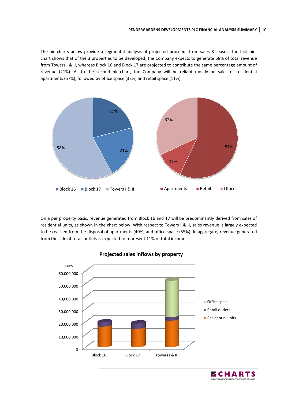The pie-charts below provide a segmental analysis of projected proceeds from sales & leases. The first piechart shows that of the 3 properties to be developed, the Company expects to generate 58% of total revenue from Towers I & II, whereas Block 16 and Block 17 are projected to contribute the same percentage amount of from Towers I & II, whereas Block 16 and Block 17 are projected to contribute the same percentage amount of<br>revenue (21%). As to the second pie-chart, the Company will be reliant mostly on sales of residential apartments (57%), followed by office space (32%) and retail space (11%).



On a per property basis, revenue generated from Block 16 and 17 will be predominantly derived from sales of residential units, as shown in the chart below. With respect to Towers I & II, sales revenue is largely expected to be realised from the disposal of apartments (40%) and office space (55%). In aggregate, revenue generated from the sale of retail outlets is expected to represent 11% of total income.



#### **Projected sales inflows by property**

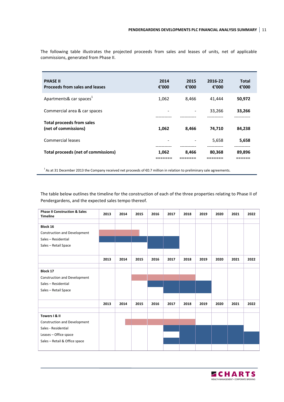| <b>PHASE II</b><br><b>Proceeds from sales and leases</b> | 2014<br>€'000            | 2015<br>€'000 | 2016-22<br>€'000 | <b>Total</b><br>€ $'000$ |
|----------------------------------------------------------|--------------------------|---------------|------------------|--------------------------|
| Apartments& car spaces <sup>1</sup>                      | 1,062                    | 8,466         | 41.444           | 50,972                   |
| Commercial area & car spaces                             | $\overline{\phantom{0}}$ |               | 33,266           | 33,266                   |
| <b>Total proceeds from sales</b><br>(net of commissions) | 1,062                    | 8,466         | 74.710           | 84,238                   |
| Commercial leases                                        | $\overline{\phantom{0}}$ |               | 5,658            | 5,658                    |
| Total proceeds (net of commissions)                      | 1,062                    | 8,466         | 80,368           | 89,896                   |

The following table illustrates the projected proceeds from sales and leases of units, net of applicable commissions, generated from Phase II.

<sup>1</sup>As at 31 December 2013 the Company received net proceeds of €0.7 million in relation to preliminary sale agreements.

The table below outlines the timeline for the construction of each of the three properties relating to Phase II of Pendergardens, and the expected sales tempo thereof.

| <b>Phase II Construction &amp; Sales</b><br><b>Timeline</b> | 2013 | 2014 | 2015 | 2016 | 2017 | 2018 | 2019 | 2020 | 2021 | 2022 |
|-------------------------------------------------------------|------|------|------|------|------|------|------|------|------|------|
|                                                             |      |      |      |      |      |      |      |      |      |      |
| Block 16                                                    |      |      |      |      |      |      |      |      |      |      |
| Construction and Development                                |      |      |      |      |      |      |      |      |      |      |
| Sales - Residential                                         |      |      |      |      |      |      |      |      |      |      |
| Sales - Retail Space                                        |      |      |      |      |      |      |      |      |      |      |
|                                                             |      |      |      |      |      |      |      |      |      |      |
|                                                             | 2013 | 2014 | 2015 | 2016 | 2017 | 2018 | 2019 | 2020 | 2021 | 2022 |
|                                                             |      |      |      |      |      |      |      |      |      |      |
| <b>Block 17</b>                                             |      |      |      |      |      |      |      |      |      |      |
| <b>Construction and Development</b>                         |      |      |      |      |      |      |      |      |      |      |
| Sales - Residential                                         |      |      |      |      |      |      |      |      |      |      |
| Sales - Retail Space                                        |      |      |      |      |      |      |      |      |      |      |
|                                                             |      |      |      |      |      |      |      |      |      |      |
|                                                             | 2013 | 2014 | 2015 | 2016 | 2017 | 2018 | 2019 | 2020 | 2021 | 2022 |
|                                                             |      |      |      |      |      |      |      |      |      |      |
| Towers I & II                                               |      |      |      |      |      |      |      |      |      |      |
| Construction and Development                                |      |      |      |      |      |      |      |      |      |      |
| Sales - Residential                                         |      |      |      |      |      |      |      |      |      |      |
| Leases - Office space                                       |      |      |      |      |      |      |      |      |      |      |
| Sales - Retail & Office space                               |      |      |      |      |      |      |      |      |      |      |
|                                                             |      |      |      |      |      |      |      |      |      |      |

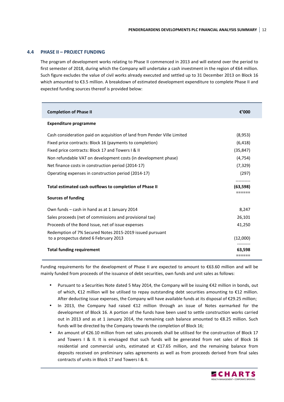#### **4.4 PHASE II – PROJECT FUNDING**

The program of development works relating to Phase II commenced in 2013 and will extend over the period to first semester of 2018, during which the Company will undertake a cash investment in the region of €64 million. Such figure excludes the value of civil works already executed and settled up to 31 December 2013 on Block 16 which amounted to €3.5 million. A breakdown of estimated development expenditure to complete Phase II and expected funding sources thereof is provided below:

| <b>Completion of Phase II</b>                                                                     | €'000                         |
|---------------------------------------------------------------------------------------------------|-------------------------------|
| <b>Expenditure programme</b>                                                                      |                               |
| Cash consideration paid on acquisition of land from Pender Ville Limited                          | (8,953)                       |
| Fixed price contracts: Block 16 (payments to completion)                                          | (6, 418)                      |
| Fixed price contracts: Block 17 and Towers I & II                                                 | (35, 847)                     |
| Non refundable VAT on development costs (in development phase)                                    | (4, 754)                      |
| Net finance costs in construction period (2014-17)                                                | (7, 329)                      |
| Operating expenses in construction period (2014-17)                                               | (297)                         |
| Total estimated cash outflows to completion of Phase II                                           | (63,598)                      |
| <b>Sources of funding</b>                                                                         |                               |
| Own funds - cash in hand as at 1 January 2014                                                     | 8,247                         |
| Sales proceeds (net of commissions and provisional tax)                                           | 26,101                        |
| Proceeds of the Bond Issue, net of issue expenses                                                 | 41,250                        |
| Redemption of 7% Secured Notes 2015-2019 issued pursuant<br>to a prospectus dated 6 February 2013 | (12,000)                      |
| <b>Total funding requirement</b>                                                                  | ---------<br>63.598<br>====== |

Funding requirements for the development of Phase II are expected to amount to €63.60 million and will be mainly funded from proceeds of the issuance of debt securities, own funds and unit sales as follows:

- Pursuant to a Securities Note dated 5 May 2014, the Company will be issuing €42 million in bonds, out of which, €12 million will be utilised to repay outstanding debt securities amounting to €12 million. After deducting issue expenses, the Company will have available funds at its disposal of €29.25 million;
- In 2013, the Company had raised €12 million through an issue of Notes earmarked for the development of Block 16. A portion of the funds have been used to settle construction works carried out in 2013 and as at 1 January 2014, the remaining cash balance amounted to €8.25 million. Such funds will be directed by the Company towards the completion of Block 16;
- An amount of €26.10 million from net sales proceeds shall be utilised for the construction of Block 17 and Towers I & II. It is envisaged that such funds will be generated from net sales of Block 16 residential and commercial units, estimated at €17.65 million, and the remaining balance from deposits received on preliminary sales agreements as well as from proceeds derived from final sales contracts of units in Block 17 and Towers I & II.

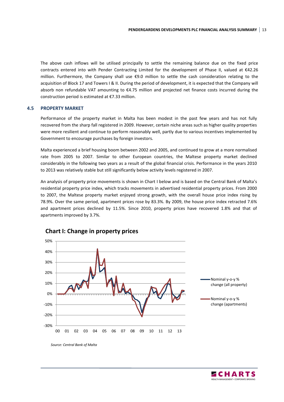The above cash inflows will be utilised principally to settle the remaining balance due on the fixed price contracts entered into with Pender Contracting Limited for the development of Phase II, valued at €42.26 million. Furthermore, the Company shall use €9.0 million to settle the cash consideration relating to the acquisition of Block 17 and Towers I & II. During the period of development, it is expected that the Company will absorb non refundable VAT amounting to €4.75 million and projected net finance costs incurred during the construction period is estimated at €7.33 million.

#### **4.5 PROPERTY MARKET**

Performance of the property market in Malta has been modest in the past few years and has not fully recovered from the sharp fall registered in 2009. However, certain niche areas such as higher quality properties were more resilient and continue to perform reasonably well, partly due to various incentives implemented by Government to encourage purchases by foreign investors.

Malta experienced a brief housing boom between 2002 and 2005, and continued to grow at a more normalised rate from 2005 to 2007. Similar to other European countries, the Maltese property market declined considerably in the following two years as a result of the global financial crisis. Performance in the years 2010 to 2013 was relatively stable but still significantly below activity levels registered in 2007.

An analysis of property price movements is shown in Chart I below and is based on the Central Bank of Malta's residential property price index, which tracks movements in advertised residential property prices. From 2000 to 2007, the Maltese property market enjoyed strong growth, with the overall house price index rising by 78.9%. Over the same period, apartment prices rose by 83.3%. By 2009, the house price index retracted 7.6% and apartment prices declined by 11.5%. Since 2010, property prices have recovered 1.8% and that of apartments improved by 3.7%.



### **Chart I: Change in property prices**

*Source: Central Bank of Malta* 

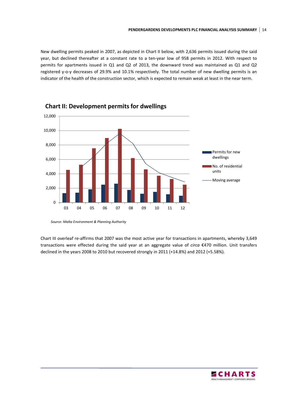New dwelling permits peaked in 2007, as depicted in Chart II below, with 2,636 permits issued during the said year, but declined thereafter at a constant rate to a ten-year low of 958 permits in 2012. With respect to permits for apartments issued in Q1 and Q2 of 2013, the downward trend was maintained as Q1 and Q2 registered y-o-y decreases of 29.9% and 10.1% respectively. The total number of new dwelling permits is an indicator of the health of the construction sector, which is expected to remain weak at least in the near term.





*Source: Malta Environment & Planning Authority* 

Chart III overleaf re-affirms that 2007 was the most active year for transactions in apartments, whereby 3,649 transactions were effected during the said year at an aggregate value of *circa* €470 million. Unit transfers declined in the years 2008 to 2010 but recovered strongly in 2011 (+14.8%) and 2012 (+5.58%).

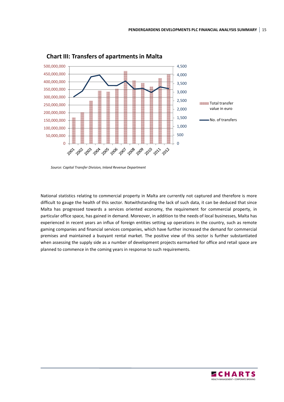

**Chart III: Transfers of apartments in Malta** 

*Source: Capital Transfer Division, Inland Revenue Department* 

National statistics relating to commercial property in Malta are currently not captured and therefore is more difficult to gauge the health of this sector. Notwithstanding the lack of such data, it can be deduced that since Malta has progressed towards a services oriented economy, the requirement for commercial property, in particular office space, has gained in demand. Moreover, in addition to the needs of local businesses, Malta has experienced in recent years an influx of foreign entities setting up operations in the country, such as remote gaming companies and financial services companies, which have further increased the demand for commercial premises and maintained a buoyant rental market. The positive view of this sector is further substantiated when assessing the supply side as a number of development projects earmarked for office and retail space are planned to commence in the coming years in response to such requirements.

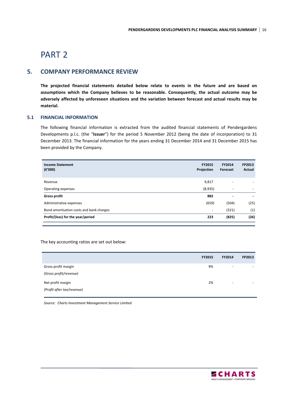# PART 2

### **5. COMPANY PERFORMANCE REVIEW**

**The projected financial statements detailed below relate to events in the future and are based on assumptions which the Company believes to be reasonable. Consequently, the actual outcome may be adversely affected by unforeseen situations and the variation between forecast and actual results may be material.**

#### **5.1 FINANCIAL INFORMATION**

The following financial information is extracted from the audited financial statements of Pendergardens Developments p.l.c. (the "**Issuer**") for the period 5 November 2012 (being the date of incorporation) to 31 December 2013. The financial information for the years ending 31 December 2014 and 31 December 2015 has been provided by the Company.

| <b>Income Statement</b><br>$(\epsilon'000)$ | <b>FY2015</b><br>Projection | <b>FY2014</b><br>Forecast | FP2013<br>Actual         |
|---------------------------------------------|-----------------------------|---------------------------|--------------------------|
| Revenue                                     | 9,817                       |                           |                          |
| Operating expenses                          | (8,935)                     | ٠                         | $\overline{\phantom{a}}$ |
| <b>Gross profit</b>                         | 882                         | $\overline{\phantom{0}}$  |                          |
| Administrative expenses                     | (659)                       | (504)                     | (25)                     |
| Bond amortisation costs and bank charges    | ٠                           | (321)                     | (1)                      |
| Profit/(loss) for the year/period           | 223                         | (825)                     | (26)                     |

The key accounting ratios are set out below:

|                            | <b>FY2015</b> | <b>FY2014</b> | FP2013 |
|----------------------------|---------------|---------------|--------|
| Gross profit margin        | 9%            | ۰             | -      |
| (Gross profit/revenue)     |               |               |        |
| Net profit margin          | 2%            | -             |        |
| (Profit after tax/revenue) |               |               |        |

*Source: Charts Investment Management Service Limited* 

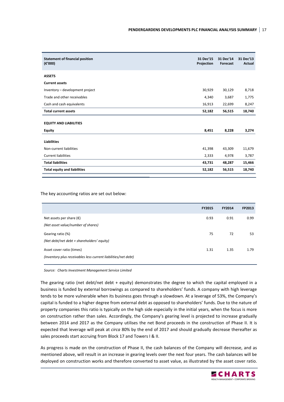| <b>Statement of financial position</b><br>$(\epsilon'000)$ | 31 Dec'15<br>Projection | 31 Dec'14<br>Forecast | 31 Dec'13<br>Actual |
|------------------------------------------------------------|-------------------------|-----------------------|---------------------|
| <b>ASSETS</b>                                              |                         |                       |                     |
| <b>Current assets</b>                                      |                         |                       |                     |
| Inventory - development project                            | 30,929                  | 30,129                | 8,718               |
| Trade and other receivables                                | 4,340                   | 3,687                 | 1,775               |
| Cash and cash equivalents                                  | 16,913                  | 22,699                | 8,247               |
| <b>Total current assets</b>                                | 52,182                  | 56,515                | 18,740              |
| <b>EQUITY AND LIABILITIES</b>                              |                         |                       |                     |
| <b>Equity</b>                                              | 8,451                   | 8,228                 | 3,274               |
| <b>Liabilities</b>                                         |                         |                       |                     |
| Non-current liabilities                                    | 41,398                  | 43,309                | 11,679              |
| <b>Current liabilities</b>                                 | 2,333                   | 4,978                 | 3,787               |
| <b>Total liabilities</b>                                   | 43,731                  | 48,287                | 15,466              |
| <b>Total equity and liabilities</b>                        | 52,182                  | 56,515                | 18,740              |
|                                                            |                         |                       |                     |

The key accounting ratios are set out below:

|                                                                                             | <b>FY2015</b> | FY2014 | FP2013 |
|---------------------------------------------------------------------------------------------|---------------|--------|--------|
| Net assets per share $(\epsilon)$<br>(Net asset value/number of shares)                     | 0.93          | 0.91   | 0.99   |
| Gearing ratio (%)<br>(Net debt/net debt + shareholders' equity)                             | 75            | 72     | 53     |
| Asset cover ratio (times)<br>(Inventory plus receivables less current liabilities/net debt) | 1.31          | 1.35   | 1.79   |

*Source: Charts Investment Management Service Limited* 

The gearing ratio (net debt/net debt + equity) demonstrates the degree to which the capital employed in a business is funded by external borrowings as compared to shareholders' funds. A company with high leverage tends to be more vulnerable when its business goes through a slowdown. At a leverage of 53%, the Company's capital is funded to a higher degree from external debt as opposed to shareholders' funds. Due to the nature of property companies this ratio is typically on the high side especially in the initial years, when the focus is more on construction rather than sales. Accordingly, the Company's gearing level is projected to increase gradually between 2014 and 2017 as the Company utilises the net Bond proceeds in the construction of Phase II. It is expected that leverage will peak at *circa* 80% by the end of 2017 and should gradually decrease thereafter as sales proceeds start accruing from Block 17 and Towers I & II.

As progress is made on the construction of Phase II, the cash balances of the Company will decrease, and as mentioned above, will result in an increase in gearing levels over the next four years. The cash balances will be deployed on construction works and therefore converted to asset value, as illustrated by the asset cover ratio.

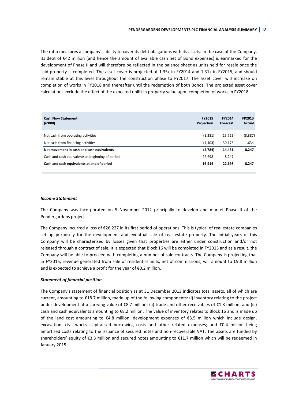The ratio measures a company's ability to cover its debt obligations with its assets. In the case of the Company, its debt of €42 million (and hence the amount of available cash net of Bond expenses) is earmarked for the development of Phase II and will therefore be reflected in the balance sheet as units held for resale once the said property is completed. The asset cover is projected at 1.35x in FY2014 and 1.31x in FY2015, and should remain stable at this level throughout the construction phase to FY2017. The asset cover will increase on completion of works in FY2018 and thereafter until the redemption of both Bonds. The projected asset cover calculations exclude the effect of the expected uplift in property value upon completion of works in FY2018.

| <b>Cash Flow Statement</b><br>$(\epsilon'000)$   | <b>FY2015</b><br>Projection | <b>FY2014</b><br>Forecast | FP2013<br>Actual |
|--------------------------------------------------|-----------------------------|---------------------------|------------------|
| Net cash from operating activities               | (1, 381)                    | (15, 725)                 | (3, 387)         |
| Net cash from financing activities               | (4, 403)                    | 30,176                    | 11,634           |
| Net movement in cash and cash equivalents        | (5,784)                     | 14,451                    | 8,247            |
| Cash and cash equivalents at beginning of period | 22,698                      | 8,247                     |                  |
| Cash and cash equivalents at end of period       | 16.914                      | 22.698                    | 8.247            |

#### *Income Statement*

The Company was incorporated on 5 November 2012 principally to develop and market Phase II of the Pendergardens project.

The Company incurred a loss of €26,227 in its first period of operations. This is typical of real estate companies set up purposely for the development and eventual sale of real estate property. The initial years of this Company will be characterised by losses given that properties are either under construction and/or not released through a contract of sale. It is expected that Block 16 will be completed in FY2015 and as a result, the Company will be able to proceed with completing a number of sale contracts. The Company is projecting that in FY2015, revenue generated from sale of residential units, net of commissions, will amount to €9.8 million and is expected to achieve a profit for the year of €0.2 million.

#### *Statement of financial position*

The Company's statement of financial position as at 31 December 2013 indicates total assets, all of which are current, amounting to €18.7 million, made up of the following components: (i) inventory relating to the project under development at a carrying value of €8.7 million; (ii) trade and other receivables of €1.8 million; and (iii) cash and cash equivalents amounting to €8.2 million. The value of inventory relates to Block 16 and is made up of the land cost amounting to €4.8 million; development expenses of €3.5 million which include design, excavation, civil works, capitalised borrowing costs and other related expenses; and €0.4 million being amortised costs relating to the issuance of secured notes and non-recoverable VAT. The assets are funded by shareholders' equity of €3.3 million and secured notes amounting to €11.7 million which will be redeemed in January 2015.

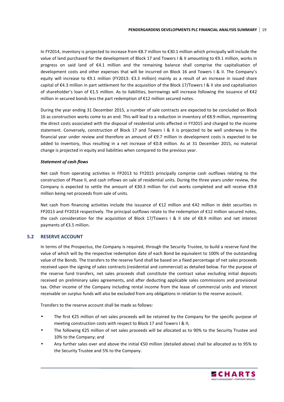In FY2014, inventory is projected to increase from €8.7 million to €30.1 million which principally will include the value of land purchased for the development of Block 17 and Towers I & II amounting to €9.1 million, works in progress on said land of €4.1 million and the remaining balance shall comprise the capitalisation of development costs and other expenses that will be incurred on Block 16 and Towers I & II. The Company's equity will increase to €9.1 million (FY2013: €3.3 million) mainly as a result of an increase in issued share capital of €4.3 million in part settlement for the acquisition of the Block 17/Towers I & II site and capitalisation of shareholder's loan of €1.5 million. As to liabilities, borrowings will increase following the issuance of €42 million in secured bonds less the part redemption of €12 million secured notes.

During the year ending 31 December 2015, a number of sale contracts are expected to be concluded on Block 16 as construction works come to an end. This will lead to a reduction in inventory of €8.9 million, representing the direct costs associated with the disposal of residential units affected in FY2015 and charged to the income statement. Conversely, construction of Block 17 and Towers I & II is projected to be well underway in the financial year under review and therefore an amount of €9.7 million in development costs is expected to be added to inventory, thus resulting in a net increase of €0.8 million. As at 31 December 2015, no material change is projected in equity and liabilities when compared to the previous year.

#### *Statement of cash flows*

Net cash from operating activities in FP2013 to FY2015 principally comprise cash outflows relating to the construction of Phase II, and cash inflows on sale of residential units. During the three years under review, the Company is expected to settle the amount of €30.3 million for civil works completed and will receive €9.8 million being net proceeds from sale of units.

Net cash from financing activities include the issuance of €12 million and €42 million in debt securities in FP2013 and FY2014 respectively. The principal outflows relate to the redemption of €12 million secured notes, the cash consideration for the acquisition of Block 17/Towers I & II site of €8.9 million and net interest payments of €3.5 million.

#### **5.2 RESERVE ACCOUNT**

In terms of the Prospectus, the Company is required, through the Security Trustee, to build a reserve fund the value of which will by the respective redemption date of each Bond be equivalent to 100% of the outstanding value of the Bonds. The transfers to the reserve fund shall be based on a fixed percentage of net sales proceeds received upon the signing of sales contracts (residential and commercial) as detailed below. For the purpose of the reserve fund transfers, net sales proceeds shall constitute the contract value excluding initial deposits received on preliminary sales agreements, and after deducting applicable sales commissions and provisional tax. Other income of the Company including rental income from the lease of commercial units and interest receivable on surplus funds will also be excluded from any obligations in relation to the reserve account.

Transfers to the reserve account shall be made as follows:

- The first €25 million of net sales proceeds will be retained by the Company for the specific purpose of meeting construction costs with respect to Block 17 and Towers I & II;
- The following  $\epsilon$ 25 million of net sales proceeds will be allocated as to 90% to the Security Trustee and 10% to the Company; and
- Any further sales over and above the initial €50 million (detailed above) shall be allocated as to 95% to the Security Trustee and 5% to the Company.

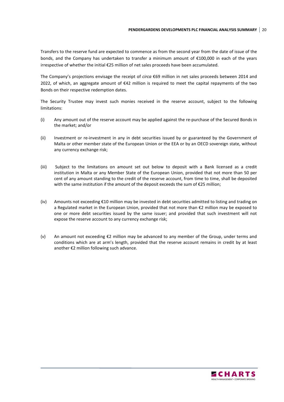Transfers to the reserve fund are expected to commence as from the second year from the date of issue of the bonds, and the Company has undertaken to transfer a minimum amount of €100,000 in each of the years irrespective of whether the initial €25 million of net sales proceeds have been accumulated.

The Company's projections envisage the receipt of *circa* €69 million in net sales proceeds between 2014 and 2022, of which, an aggregate amount of  $\epsilon$ 42 million is required to meet the capital repayments of the two Bonds on their respective redemption dates.

The Security Trustee may invest such monies received in the reserve account, subject to the following limitations:

- (i) Any amount out of the reserve account may be applied against the re-purchase of the Secured Bonds in the market; and/or
- (ii) Investment or re-investment in any in debt securities issued by or guaranteed by the Government of Malta or other member state of the European Union or the EEA or by an OECD sovereign state, without any currency exchange risk;
- (iii) Subject to the limitations on amount set out below to deposit with a Bank licensed as a credit institution in Malta or any Member State of the European Union, provided that not more than 50 per cent of any amount standing to the credit of the reserve account, from time to time, shall be deposited with the same institution if the amount of the deposit exceeds the sum of €25 million;
- (iv) Amounts not exceeding €10 million may be invested in debt securities admitted to listing and trading on a Regulated market in the European Union, provided that not more than €2 million may be exposed to one or more debt securities issued by the same issuer; and provided that such investment will not expose the reserve account to any currency exchange risk;
- (v) An amount not exceeding €2 million may be advanced to any member of the Group, under terms and conditions which are at arm's length, provided that the reserve account remains in credit by at least another €2 million following such advance.

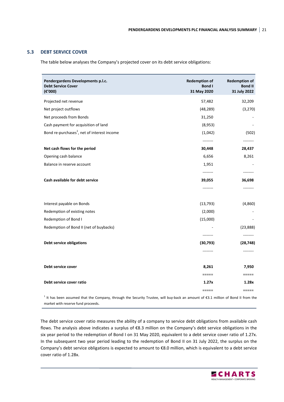#### **5.3 DEBT SERVICE COVER**

The table below analyses the Company's projected cover on its debt service obligations:

| Pendergardens Developments p.l.c.<br><b>Debt Service Cover</b><br>$(\epsilon'000)$ | <b>Redemption of</b><br><b>Bond I</b><br>31 May 2020 | <b>Redemption of</b><br><b>Bond II</b><br>31 July 2022 |
|------------------------------------------------------------------------------------|------------------------------------------------------|--------------------------------------------------------|
| Projected net revenue                                                              | 57,482                                               | 32,209                                                 |
| Net project outflows                                                               | (48, 289)                                            | (3, 270)                                               |
| Net proceeds from Bonds                                                            | 31,250                                               |                                                        |
| Cash payment for acquisition of land                                               | (8,953)                                              |                                                        |
| Bond re-purchases <sup>1</sup> , net of interest income                            | (1,042)                                              | (502)                                                  |
|                                                                                    | --------                                             |                                                        |
| Net cash flows for the period                                                      | 30,448                                               | 28,437                                                 |
| Opening cash balance                                                               | 6,656                                                | 8,261                                                  |
| Balance in reserve account                                                         | 1,951                                                |                                                        |
|                                                                                    | --------                                             | --------                                               |
| Cash available for debt service                                                    | 39,055                                               | 36,698                                                 |
|                                                                                    | --------                                             | --------                                               |
| Interest payable on Bonds                                                          | (13, 793)                                            | (4,860)                                                |
| Redemption of existing notes                                                       | (2,000)                                              |                                                        |
| Redemption of Bond I                                                               | (15,000)                                             |                                                        |
| Redemption of Bond II (net of buybacks)                                            |                                                      | (23,888)                                               |
| Debt service obligations                                                           | --------<br>(30, 793)                                | --------<br>(28, 748)                                  |
|                                                                                    | --------                                             | --------                                               |
|                                                                                    |                                                      |                                                        |
| Debt service cover                                                                 | 8,261                                                | 7,950                                                  |
|                                                                                    | $=====$                                              | $=====$                                                |
| Debt service cover ratio                                                           | 1.27x                                                | 1.28x                                                  |
|                                                                                    | =====                                                | $=====$                                                |

<sup>1</sup> It has been assumed that the Company, through the Security Trustee, will buy-back an amount of €3.1 million of Bond II from the market with reserve fund proceeds.

The debt service cover ratio measures the ability of a company to service debt obligations from available cash flows. The analysis above indicates a surplus of €8.3 million on the Company's debt service obligations in the six year period to the redemption of Bond I on 31 May 2020, equivalent to a debt service cover ratio of 1.27x. In the subsequent two year period leading to the redemption of Bond II on 31 July 2022, the surplus on the Company's debt service obligations is expected to amount to €8.0 million, which is equivalent to a debt service cover ratio of 1.28x.

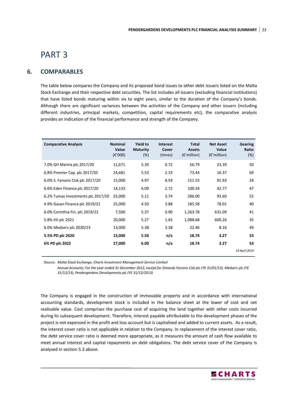# PART 3

## **6. COMPARABLES**

The table below compares the Company and its proposed bond issues to other debt issuers listed on the Malta Stock Exchange and their respective debt securities. The list includes all issuers (excluding financial institutions) that have listed bonds maturing within six to eight years, similar to the duration of the Company's bonds. Although there are significant variances between the activities of the Company and other issuers (including different industries, principal markets, competition, capital requirements etc), the comparative analysis provides an indication of the financial performance and strength of the Company.

| <b>Comparative Analysis</b>        | <b>Nominal</b><br>Value<br>$(\varepsilon' 000)$ | <b>Yield to</b><br><b>Maturity</b><br>(%) | <b>Interest</b><br>Cover<br>(times) | <b>Total</b><br><b>Assets</b><br>$(\epsilon'$ million) | <b>Net Asset</b><br>Value<br>$(\epsilon'$ million) | <b>Gearing</b><br>Ratio<br>$(\%)$ |
|------------------------------------|-------------------------------------------------|-------------------------------------------|-------------------------------------|--------------------------------------------------------|----------------------------------------------------|-----------------------------------|
| 7.0% GH Marina plc 2017/20         | 11,671                                          | 5.39                                      | 0.72                                | 56.79                                                  | 23.39                                              | 50                                |
| 6.8% Premier Cap. plc 2017/20      | 24,681                                          | 5.53                                      | 2.19                                | 73.44                                                  | 16.37                                              | 69                                |
| 6.0% S. Farsons Cisk plc 2017/20   | 15,000                                          | 4.97                                      | 8.59                                | 151.53                                                 | 91.93                                              | 24                                |
| 6.6% Eden Finance plc 2017/20      | 14,133                                          | 6.09                                      | 2.72                                | 100.34                                                 | 42.77                                              | 47                                |
| 6.2% Tumas Investments plc 2017/20 | 25,000                                          | 5.11                                      | 3.74                                | 286.00                                                 | 93.60                                              | 55                                |
| 4.9% Gasan Finance plc 2019/21     | 25,000                                          | 4.50                                      | 3.88                                | 185.58                                                 | 78.01                                              | 40                                |
| 6.0% Corinthia Fin. plc 2019/22    | 7,500                                           | 5.37                                      | 0.90                                | 1,263.78                                               | 631.09                                             | 41                                |
| 5.8% IHI plc 2021                  | 20,000                                          | 5.27                                      | 1.65                                | 1,088.68                                               | 600.26                                             | 35                                |
| 6.0% Medsery plc 2020/23           | 13,000                                          | 5.38                                      | 3.38                                | 22.46                                                  | 8.16                                               | 49                                |
| 5.5% PD plc 2020                   | 15,000                                          | 5.50                                      | n/a                                 | 18.74                                                  | 3.27                                               | 53                                |
| 6% PD plc 2022                     | 27,000                                          | 6.00                                      | n/a                                 | 18.74                                                  | 3.27                                               | 53                                |
|                                    |                                                 |                                           |                                     |                                                        |                                                    | 14 April 2014                     |

*Source: Malta Stock Exchange, Charts Investment Management Service Limited* 

 *Annual Accounts: For the year ended 31 December 2012, except for Simonds Farsons Cisk plc (YE 31/01/13), Medserv plc (YE 31/12/13), Pendergardens Developments plc (YE 31/12/2013)* 

The Company is engaged in the construction of immovable property and in accordance with international accounting standards, development stock is included in the balance sheet at the lower of cost and net realisable value. Cost comprises the purchase cost of acquiring the land together with other costs incurred during its subsequent development. Therefore, interest payable attributable to the development phases of the project is not expensed in the profit and loss account but is capitalised and added to current assets. As a result, the interest cover ratio is not applicable in relation to the Company. In replacement of the interest cover ratio, the debt service cover ratio is deemed more appropriate, as it measures the amount of cash flow available to meet annual interest and capital repayments on debt obligations. The debt service cover of the Company is analysed in section 5.3 above.

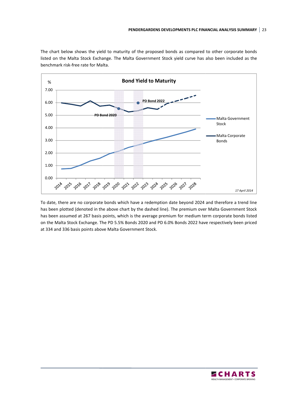The chart below shows the yield to maturity of the proposed bonds as compared to other corporate bonds listed on the Malta Stock Exchange. The Malta Government Stock yield curve has also been included as the benchmark risk-free rate for Malta.



To date, there are no corporate bonds which have a redemption date beyond 2024 and therefore a trend line has been plotted (denoted in the above chart by the dashed line). The premium over Malta Government Stock has been assumed at 267 basis points, which is the average premium for medium term corporate bonds listed on the Malta Stock Exchange. The PD 5.5% Bonds 2020 and PD 6.0% Bonds 2022 have respectively been priced at 334 and 336 basis points above Malta Government Stock Stock.

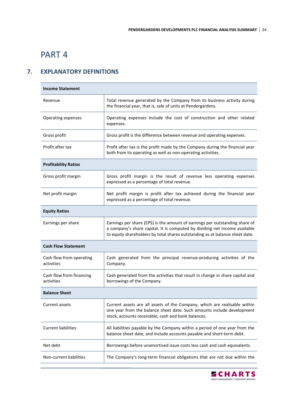# PART 4

# **7. EXPLANATORY DEFINITIONS**

| <b>Income Statement</b>                |                                                                                                                                                                                                                                           |  |  |  |
|----------------------------------------|-------------------------------------------------------------------------------------------------------------------------------------------------------------------------------------------------------------------------------------------|--|--|--|
| Revenue                                | Total revenue generated by the Company from its business activity during<br>the financial year, that is, sale of units at Pendergardens.                                                                                                  |  |  |  |
| Operating expenses                     | Operating expenses include the cost of construction and other related<br>expenses.                                                                                                                                                        |  |  |  |
| Gross profit                           | Gross profit is the difference between revenue and operating expenses.                                                                                                                                                                    |  |  |  |
| Profit after tax                       | Profit after tax is the profit made by the Company during the financial year<br>both from its operating as well as non-operating activities.                                                                                              |  |  |  |
| <b>Profitability Ratios</b>            |                                                                                                                                                                                                                                           |  |  |  |
| Gross profit margin                    | Gross profit margin is the result of revenue less operating expenses<br>expressed as a percentage of total revenue.                                                                                                                       |  |  |  |
| Net profit margin                      | Net profit margin is profit after tax achieved during the financial year<br>expressed as a percentage of total revenue.                                                                                                                   |  |  |  |
| <b>Equity Ratios</b>                   |                                                                                                                                                                                                                                           |  |  |  |
| Earnings per share                     | Earnings per share (EPS) is the amount of earnings per outstanding share of<br>a company's share capital. It is computed by dividing net income available<br>to equity shareholders by total shares outstanding as at balance sheet date. |  |  |  |
| <b>Cash Flow Statement</b>             |                                                                                                                                                                                                                                           |  |  |  |
| Cash flow from operating<br>activities | Cash generated from the principal revenue-producing activities of the<br>Company.                                                                                                                                                         |  |  |  |
| Cash flow from financing<br>activities | Cash generated from the activities that result in change in share capital and<br>borrowings of the Company.                                                                                                                               |  |  |  |
| <b>Balance Sheet</b>                   |                                                                                                                                                                                                                                           |  |  |  |
| <b>Current assets</b>                  | Current assets are all assets of the Company, which are realisable within<br>one year from the balance sheet date. Such amounts include development<br>stock, accounts receivable, cash and bank balances.                                |  |  |  |
| <b>Current liabilities</b>             | All liabilities payable by the Company within a period of one year from the<br>balance sheet date, and include accounts payable and short-term debt.                                                                                      |  |  |  |
| Net debt                               | Borrowings before unamortised issue costs less cash and cash equivalents.                                                                                                                                                                 |  |  |  |
| Non-current liabilities                | The Company's long-term financial obligations that are not due within the                                                                                                                                                                 |  |  |  |